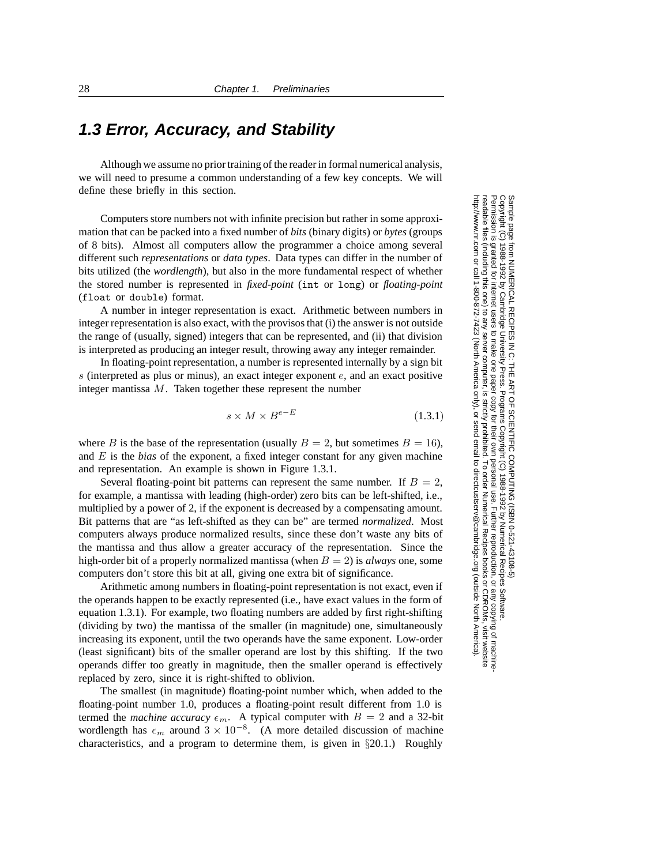## **1.3 Error, Accuracy, and Stability**

Although we assume no prior training of the reader in formal numerical analysis, we will need to presume a common understanding of a few key concepts. We will define these briefly in this section.

Computers store numbers not with infinite precision but rather in some approximation that can be packed into a fixed number of *bits* (binary digits) or *bytes* (groups of 8 bits). Almost all computers allow the programmer a choice among several different such *representations* or *data types*. Data types can differ in the number of bits utilized (the *wordlength*), but also in the more fundamental respect of whether the stored number is represented in *fixed-point* (int or long) or *floating-point* (float or double) format.

A number in integer representation is exact. Arithmetic between numbers in integer representation is also exact, with the provisos that (i) the answer is not outside the range of (usually, signed) integers that can be represented, and (ii) that division is interpreted as producing an integer result, throwing away any integer remainder.

In floating-point representation, a number is represented internally by a sign bit s (interpreted as plus or minus), an exact integer exponent  $e$ , and an exact positive integer mantissa M. Taken together these represent the number

$$
s \times M \times B^{e-E} \tag{1.3.1}
$$

where B is the base of the representation (usually  $B = 2$ , but sometimes  $B = 16$ ), and  $E$  is the *bias* of the exponent, a fixed integer constant for any given machine and representation. An example is shown in Figure 1.3.1.

Several floating-point bit patterns can represent the same number. If  $B = 2$ , for example, a mantissa with leading (high-order) zero bits can be left-shifted, i.e., multiplied by a power of 2, if the exponent is decreased by a compensating amount. Bit patterns that are "as left-shifted as they can be" are termed *normalized*. Most computers always produce normalized results, since these don't waste any bits of the mantissa and thus allow a greater accuracy of the representation. Since the high-order bit of a properly normalized mantissa (when  $B = 2$ ) is *always* one, some computers don't store this bit at all, giving one extra bit of significance.

Arithmetic among numbers in floating-point representation is not exact, even if the operands happen to be exactly represented (i.e., have exact values in the form of equation 1.3.1). For example, two floating numbers are added by first right-shifting (dividing by two) the mantissa of the smaller (in magnitude) one, simultaneously increasing its exponent, until the two operands have the same exponent. Low-order (least significant) bits of the smaller operand are lost by this shifting. If the two operands differ too greatly in magnitude, then the smaller operand is effectively replaced by zero, since it is right-shifted to oblivion.

The smallest (in magnitude) floating-point number which, when added to the floating-point number 1.0, produces a floating-point result different from 1.0 is termed the *machine accuracy*  $\epsilon_m$ . A typical computer with  $B = 2$  and a 32-bit wordlength has  $\epsilon_m$  around  $3 \times 10^{-8}$ . (A more detailed discussion of machine characteristics, and a program to determine them, is given in §20.1.) Roughly

Permission is granted for internet users to make one paper copy for their own personal use. Further reproduction, or any copyin Copyright (C) 1988-1992 by Cambridge University Press.Programs Copyright (C) 1988-1992 by Numerical Recipes Software. Sample page from NUMERICAL RECIPES IN C: THE ART OF SCIENTIFIC COMPUTING (ISBN 0-521-43108-5) g of machinereadable files (including this one) to any servercomputer, is strictly prohibited. To order Numerical Recipes booksor CDROMs, visit website http://www.nr.com or call 1-800-872-7423 (North America only),or send email to directcustserv@cambridge.org (outside North America).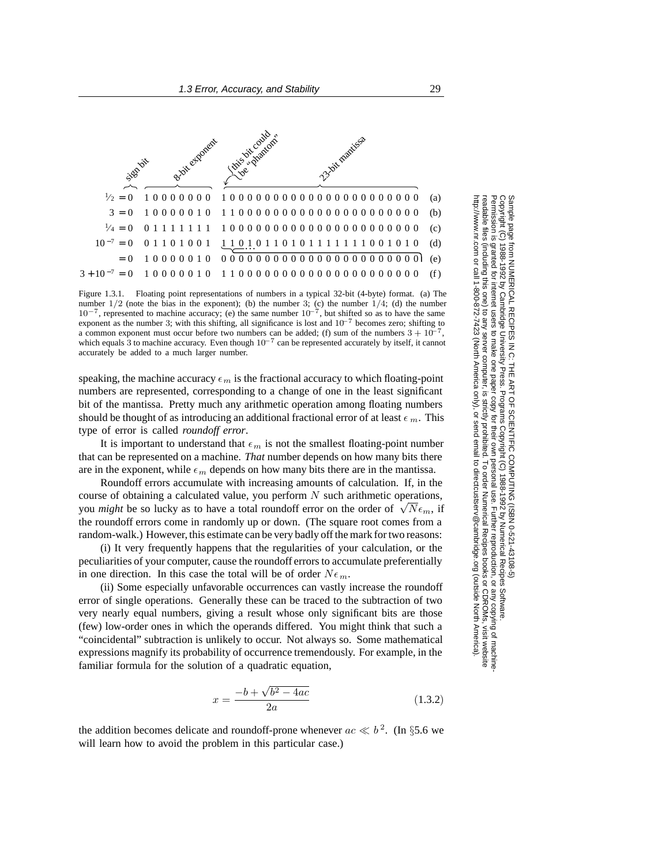

Figure 1.3.1. Floating point representations of numbers in a typical 32-bit (4-byte) format. (a) The number  $1/2$  (note the bias in the exponent); (b) the number 3; (c) the number  $1/4$ ; (d) the number 10*−*7, represented to machine accuracy; (e) the same number 10*−*7, but shifted so as to have the same exponent as the number 3; with this shifting, all significance is lost and 10*−*<sup>7</sup> becomes zero; shifting to a common exponent must occur before two numbers can be added; (f) sum of the numbers  $3 + 10^{-7}$ , which equals 3 to machine accuracy. Even though 10*−*<sup>7</sup> can be represented accurately by itself, it cannot accurately be added to a much larger number.

speaking, the machine accuracy  $\epsilon_m$  is the fractional accuracy to which floating-point numbers are represented, corresponding to a change of one in the least significant bit of the mantissa. Pretty much any arithmetic operation among floating numbers should be thought of as introducing an additional fractional error of at least  $\epsilon_m$ . This type of error is called *roundoff error*.

It is important to understand that  $\epsilon_m$  is not the smallest floating-point number that can be represented on a machine. *That* number depends on how many bits there are in the exponent, while  $\epsilon_m$  depends on how many bits there are in the mantissa.

Roundoff errors accumulate with increasing amounts of calculation. If, in the course of obtaining a calculated value, you perform  $N$  such arithmetic operations, you *might* be so lucky as to have a total roundoff error on the order of  $\sqrt{N} \epsilon_m$ , if the roundoff errors come in randomly up or down. (The square root comes from a random-walk.) However, this estimate can be very badly off the mark for two reasons:

(i) It very frequently happens that the regularities of your calculation, or the peculiarities of your computer, cause the roundoff errors to accumulate preferentially in one direction. In this case the total will be of order  $N\epsilon_m$ .

(ii) Some especially unfavorable occurrences can vastly increase the roundoff error of single operations. Generally these can be traced to the subtraction of two very nearly equal numbers, giving a result whose only significant bits are those (few) low-order ones in which the operands differed. You might think that such a "coincidental" subtraction is unlikely to occur. Not always so. Some mathematical expressions magnify its probability of occurrence tremendously. For example, in the familiar formula for the solution of a quadratic equation,

$$
x = \frac{-b + \sqrt{b^2 - 4ac}}{2a} \tag{1.3.2}
$$

the addition becomes delicate and roundoff-prone whenever  $ac \ll b^2$ . (In §5.6 we will learn how to avoid the problem in this particular case.)

Sample page from NUMERICAL RECIPES IN C: THE<br>Copyright (C) 1988-1992 by Cambridge University Pres Copyright (C) 1988-1992 by Cambridge University Press.Sample page from NUMERICAL RECIPES IN C: THE ART OF SCIENTIFIC COMPUTING (ISBN 0-521-43108-5) http://www.nr.com or call 1-800-872-7423 (North America only),readable files (including this one) to any serverPermission is granted for internet users to make one paper copy for their own personal use. Further reproduction, or any copyin Permission is from NUMERICAL RECIPES IN C: THE ART OF SCIENTIFIC COMPUTING (ISBN 0-521-43108-5)<br>1988-1992 by Cambridge University Press. Programs Copyright (C) 1989-1992 by Numerical Recipes Software computer, is strictly prohibited. To order Numerical Recipes booksPrograms Copyright (C) 1988-1992 by Numerical Recipes Software. or send email to directcustserv@cambridge.org (outside North America). or CDROMs, visit website g of machine-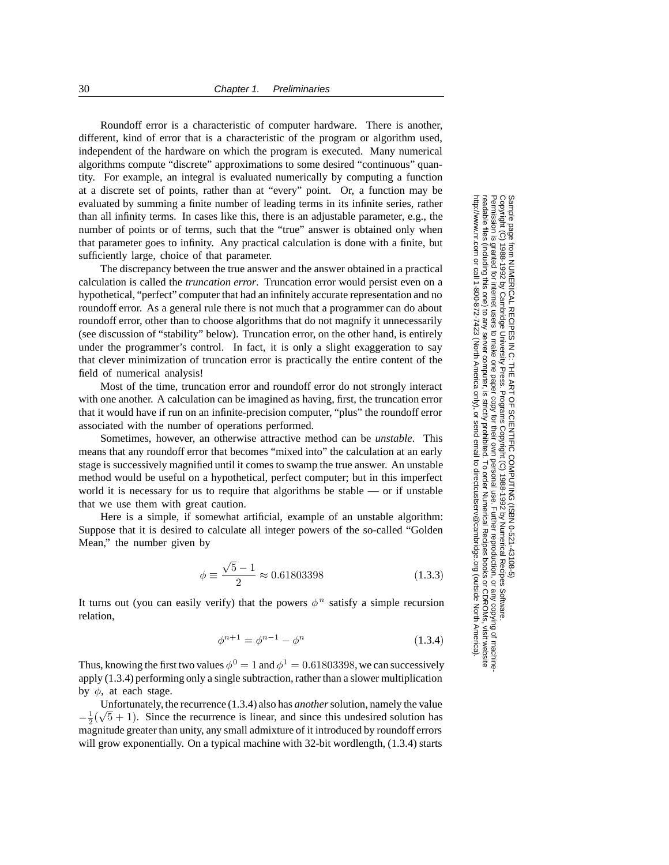Roundoff error is a characteristic of computer hardware. There is another, different, kind of error that is a characteristic of the program or algorithm used, independent of the hardware on which the program is executed. Many numerical algorithms compute "discrete" approximations to some desired "continuous" quantity. For example, an integral is evaluated numerically by computing a function at a discrete set of points, rather than at "every" point. Or, a function may be evaluated by summing a finite number of leading terms in its infinite series, rather than all infinity terms. In cases like this, there is an adjustable parameter, e.g., the number of points or of terms, such that the "true" answer is obtained only when that parameter goes to infinity. Any practical calculation is done with a finite, but sufficiently large, choice of that parameter.

The discrepancy between the true answer and the answer obtained in a practical calculation is called the *truncation error*. Truncation error would persist even on a hypothetical, "perfect" computer that had an infinitely accurate representation and no roundoff error. As a general rule there is not much that a programmer can do about roundoff error, other than to choose algorithms that do not magnify it unnecessarily (see discussion of "stability" below). Truncation error, on the other hand, is entirely under the programmer's control. In fact, it is only a slight exaggeration to say that clever minimization of truncation error is practically the entire content of the field of numerical analysis!

Most of the time, truncation error and roundoff error do not strongly interact with one another. A calculation can be imagined as having, first, the truncation error that it would have if run on an infinite-precision computer, "plus" the roundoff error associated with the number of operations performed.

Sometimes, however, an otherwise attractive method can be *unstable*. This means that any roundoff error that becomes "mixed into" the calculation at an early stage is successively magnified until it comes to swamp the true answer. An unstable method would be useful on a hypothetical, perfect computer; but in this imperfect world it is necessary for us to require that algorithms be stable — or if unstable that we use them with great caution.

Here is a simple, if somewhat artificial, example of an unstable algorithm: Suppose that it is desired to calculate all integer powers of the so-called "Golden Mean," the number given by

$$
\phi \equiv \frac{\sqrt{5} - 1}{2} \approx 0.61803398\tag{1.3.3}
$$

It turns out (you can easily verify) that the powers  $\phi^n$  satisfy a simple recursion relation,

$$
\phi^{n+1} = \phi^{n-1} - \phi^n \tag{1.3.4}
$$

Thus, knowing the first two values  $\phi^0 = 1$  and  $\phi^1 = 0.61803398$ , we can successively apply (1.3.4) performing only a single subtraction, rather than a slower multiplication by  $\phi$ , at each stage.

Unfortunately, the recurrence (1.3.4) also has *another*solution, namely the value  $-\frac{1}{2}(\sqrt{5}+1)$ . Since the recurrence is linear, and since this undesired solution has magnitude greater than unity, any small admixture of it introduced by roundoff errors will grow exponentially. On a typical machine with 32-bit wordlength,  $(1.3.4)$  starts

Permission is granted for internet users to make one paper copy for their own personal use. Further reproduction, or any copyin Copyright (C) 1988-1992 by Cambridge University Press.Sample page from NUMERICAL RECIPES IN C: THE ART OF SCIENTIFIC COMPUTING (ISBN 0-521-43108-5)<br>Copyright (C) 1988-1992 by Cambridge University Press. Programs Copyright (C) 1988-1992 by Numerical Recipes Software<br>Permissio Programs Copyright (C) 1988-1992 by Numerical Recipes Software. g of machinereadable files (including this one) to any servercomputer, is strictly prohibited. To order Numerical Recipes booksor CDROMs, visit website http://www.nr.com or call 1-800-872-7423 (North America only),or send email to directcustserv@cambridge.org (outside North America).

Sample page from NUMERICAL RECIPES IN C: THE ART OF SCIENTIFIC COMPUTING (ISBN 0-521-43108-5)